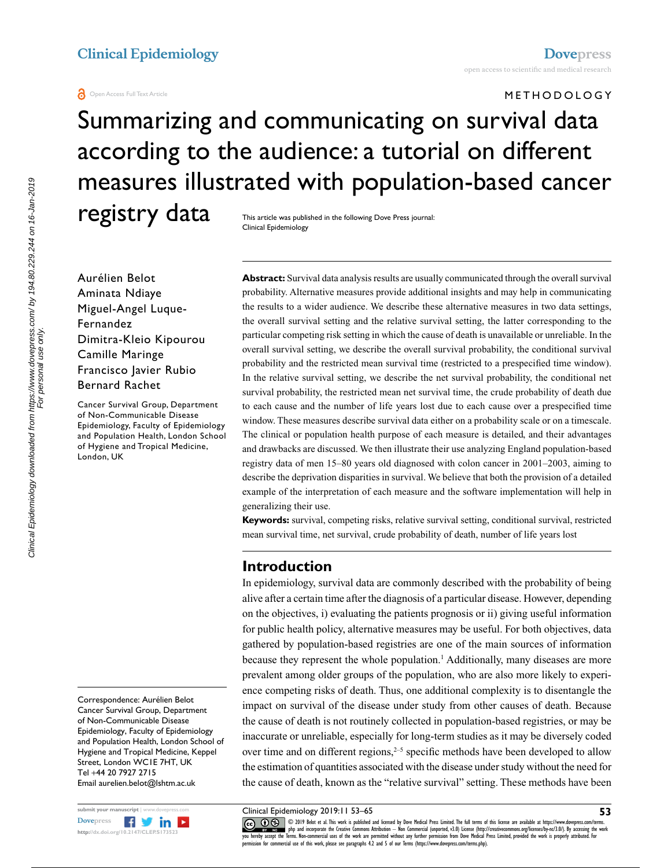#### **a** Open Access Full Text Article

**METHODOLOGY** 

# Summarizing and communicating on survival data according to the audience: a tutorial on different measures illustrated with population-based cancer registry data

This article was published in the following Dove Press journal: Clinical Epidemiology

Aurélien Belot Aminata Ndiaye Miguel-Angel Luque-Fernandez Dimitra-Kleio Kipourou Camille Maringe Francisco Javier Rubio Bernard Rachet

Cancer Survival Group, Department of Non-Communicable Disease Epidemiology, Faculty of Epidemiology and Population Health, London School of Hygiene and Tropical Medicine, London, UK

Correspondence: Aurélien Belot Cancer Survival Group, Department of Non-Communicable Disease Epidemiology, Faculty of Epidemiology and Population Health, London School of Hygiene and Tropical Medicine, Keppel Street, London WC1E 7HT, UK Tel +44 20 7927 2715 Email<aurelien.belot@lshtm.ac.uk>



**Abstract:** Survival data analysis results are usually communicated through the overall survival probability. Alternative measures provide additional insights and may help in communicating the results to a wider audience. We describe these alternative measures in two data settings, the overall survival setting and the relative survival setting, the latter corresponding to the particular competing risk setting in which the cause of death is unavailable or unreliable. In the overall survival setting, we describe the overall survival probability, the conditional survival probability and the restricted mean survival time (restricted to a prespecified time window). In the relative survival setting, we describe the net survival probability, the conditional net survival probability, the restricted mean net survival time, the crude probability of death due to each cause and the number of life years lost due to each cause over a prespecified time window. These measures describe survival data either on a probability scale or on a timescale. The clinical or population health purpose of each measure is detailed, and their advantages and drawbacks are discussed. We then illustrate their use analyzing England population-based registry data of men 15–80 years old diagnosed with colon cancer in 2001–2003, aiming to describe the deprivation disparities in survival. We believe that both the provision of a detailed example of the interpretation of each measure and the software implementation will help in generalizing their use.

**Keywords:** survival, competing risks, relative survival setting, conditional survival, restricted mean survival time, net survival, crude probability of death, number of life years lost

# **Introduction**

In epidemiology, survival data are commonly described with the probability of being alive after a certain time after the diagnosis of a particular disease. However, depending on the objectives, i) evaluating the patients prognosis or ii) giving useful information for public health policy, alternative measures may be useful. For both objectives, data gathered by population-based registries are one of the main sources of information because they represent the whole population.<sup>1</sup> Additionally, many diseases are more prevalent among older groups of the population, who are also more likely to experience competing risks of death. Thus, one additional complexity is to disentangle the impact on survival of the disease under study from other causes of death. Because the cause of death is not routinely collected in population-based registries, or may be inaccurate or unreliable, especially for long-term studies as it may be diversely coded over time and on different regions, $2-5$  specific methods have been developed to allow the estimation of quantities associated with the disease under study without the need for the cause of death, known as the "relative survival" setting. These methods have been

Clinical Epidemiology 2019:11 53–65

COM Delot et al. This work is published and licensed by Dove Medical Press Limited. The full terms of this license are available at https://www.dovepress.com/terms.<br> [you hereby accept the T](http://www.dovepress.com/permissions.php)erms. Non-commercial uses of the permission for commercial use of this work, please see paragraphs 4.2 and 5 of our Terms (https://www.dovepress.com/terms.php).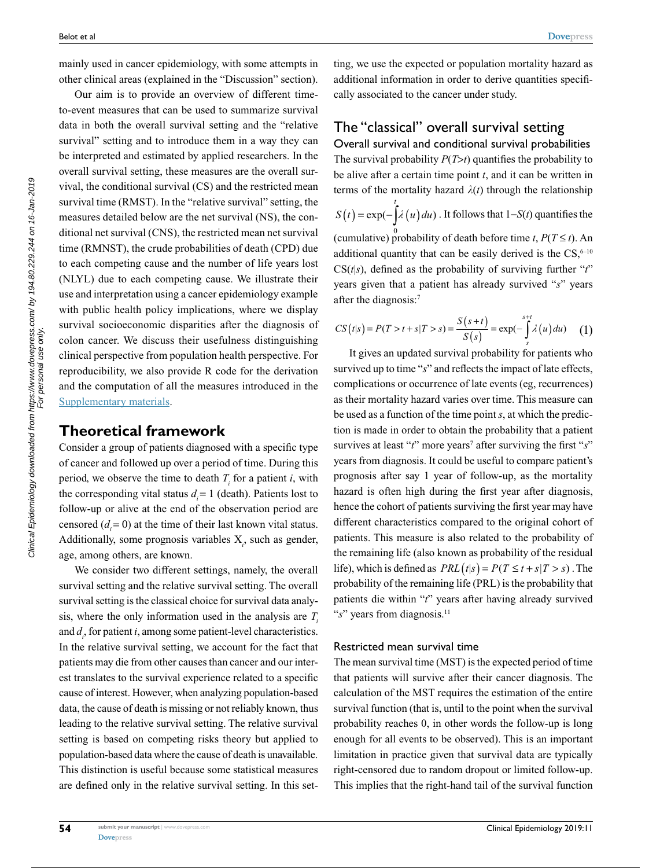mainly used in cancer epidemiology, with some attempts in other clinical areas (explained in the "Discussion" section).

Our aim is to provide an overview of different timeto-event measures that can be used to summarize survival data in both the overall survival setting and the "relative survival" setting and to introduce them in a way they can be interpreted and estimated by applied researchers. In the overall survival setting, these measures are the overall survival, the conditional survival (CS) and the restricted mean survival time (RMST). In the "relative survival" setting, the measures detailed below are the net survival (NS), the conditional net survival (CNS), the restricted mean net survival time (RMNST), the crude probabilities of death (CPD) due to each competing cause and the number of life years lost (NLYL) due to each competing cause. We illustrate their use and interpretation using a cancer epidemiology example with public health policy implications, where we display survival socioeconomic disparities after the diagnosis of colon cancer. We discuss their usefulness distinguishing clinical perspective from population health perspective. For reproducibility, we also provide R code for the derivation and the computation of all the measures introduced in the [Supplementary materials.](https://www.dovepress.com/get_supplementary_file.php%3Ff%3D173523.pdf)

### **Theoretical framework**

Consider a group of patients diagnosed with a specific type of cancer and followed up over a period of time. During this period, we observe the time to death  $T_i$  for a patient *i*, with the corresponding vital status  $d = 1$  (death). Patients lost to follow-up or alive at the end of the observation period are censored  $(d<sub>i</sub> = 0)$  at the time of their last known vital status. Additionally, some prognosis variables  $X_i$ , such as gender, age, among others, are known.

We consider two different settings, namely, the overall survival setting and the relative survival setting. The overall survival setting is the classical choice for survival data analysis, where the only information used in the analysis are  $T_i$ and  $d_i$ , for patient *i*, among some patient-level characteristics. In the relative survival setting, we account for the fact that patients may die from other causes than cancer and our interest translates to the survival experience related to a specific cause of interest. However, when analyzing population-based data, the cause of death is missing or not reliably known, thus leading to the relative survival setting. The relative survival setting is based on competing risks theory but applied to population-based data where the cause of death is unavailable. This distinction is useful because some statistical measures are defined only in the relative survival setting. In this setting, we use the expected or population mortality hazard as additional information in order to derive quantities specifically associated to the cancer under study.

# The "classical" overall survival setting

Overall survival and conditional survival probabilities The survival probability *P*(*T*>*t*) quantifies the probability to be alive after a certain time point *t*, and it can be written in terms of the mortality hazard  $\lambda(t)$  through the relationship  $S(t) = \exp(-\int_{0}^{t} \lambda(u) du)$ . It follows that  $1-S(t)$  quantifies the *t* (cumulative) probability of death before time *t*,  $P(T \le t)$ . An additional quantity that can be easily derived is the  $CS$ ,<sup>6–10</sup>  $CS(t|s)$ , defined as the probability of surviving further " $t$ " years given that a patient has already survived "*s*" years after the diagnosis:7

$$
CS(t|s) = P(T > t + s|T > s) = \frac{S(s+t)}{S(s)} = \exp(-\int_{s}^{s+t} \lambda(u) du)
$$
 (1)

It gives an updated survival probability for patients who survived up to time "*s*" and reflects the impact of late effects, complications or occurrence of late events (eg, recurrences) as their mortality hazard varies over time. This measure can be used as a function of the time point *s*, at which the prediction is made in order to obtain the probability that a patient survives at least "*t*" more years<sup>7</sup> after surviving the first "*s*" years from diagnosis. It could be useful to compare patient's prognosis after say 1 year of follow-up, as the mortality hazard is often high during the first year after diagnosis, hence the cohort of patients surviving the first year may have different characteristics compared to the original cohort of patients. This measure is also related to the probability of the remaining life (also known as probability of the residual life), which is defined as  $PRL(t|s) = P(T \le t + s|T > s)$ . The probability of the remaining life (PRL) is the probability that patients die within "*t*" years after having already survived "s" years from diagnosis.<sup>11</sup>

#### Restricted mean survival time

The mean survival time (MST) is the expected period of time that patients will survive after their cancer diagnosis. The calculation of the MST requires the estimation of the entire survival function (that is, until to the point when the survival probability reaches 0, in other words the follow-up is long enough for all events to be observed). This is an important limitation in practice given that survival data are typically right-censored due to random dropout or limited follow-up. This implies that the right-hand tail of the survival function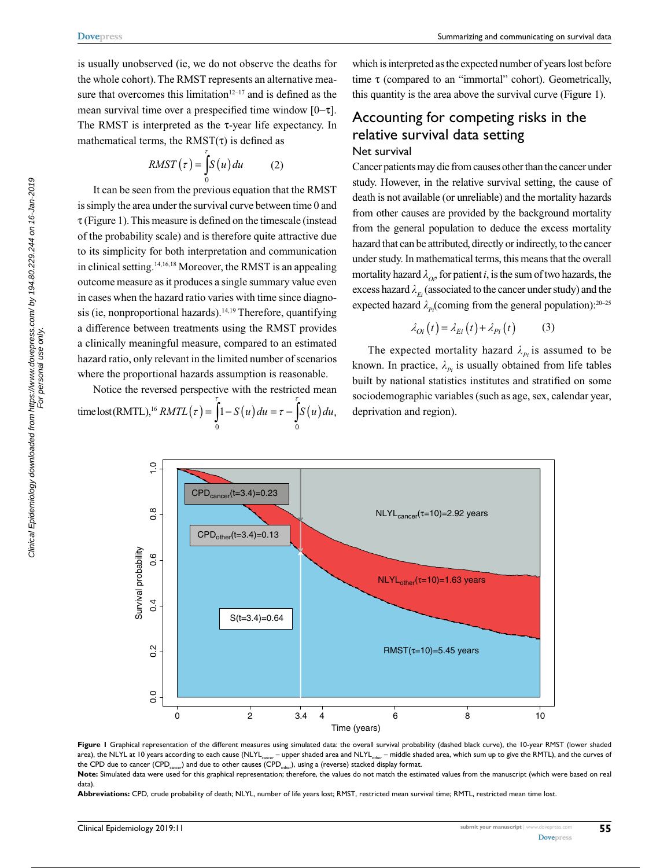is usually unobserved (ie, we do not observe the deaths for the whole cohort). The RMST represents an alternative measure that overcomes this limitation $12-17$  and is defined as the mean survival time over a prespecified time window [0-τ]. The RMST is interpreted as the τ-year life expectancy. In mathematical terms, the  $RMST(\tau)$  is defined as

$$
RMST(\tau) = \int_{0}^{\tau} S(u) du \qquad (2)
$$

It can be seen from the previous equation that the RMST is simply the area under the survival curve between time 0 and  $\tau$  (Figure 1). This measure is defined on the timescale (instead of the probability scale) and is therefore quite attractive due to its simplicity for both interpretation and communication in clinical setting.14,16,18 Moreover, the RMST is an appealing outcome measure as it produces a single summary value even in cases when the hazard ratio varies with time since diagnosis (ie, nonproportional hazards).<sup>14,19</sup> Therefore, quantifying a difference between treatments using the RMST provides a clinically meaningful measure, compared to an estimated hazard ratio, only relevant in the limited number of scenarios where the proportional hazards assumption is reasonable.

Notice the reversed perspective with the restricted mean  $\text{time lost}(\text{RMTL})^{16} \text{ } \text{RMTL}(\tau) = |1 - S(u)| du = \tau - |S(u)| du$  $\tau(t) = \int_{0}^{t} 1 - S(u) du = \tau - \int_{0}^{t} S(u)$  $1-S(u)du = \tau - S(u)du,$  which is interpreted as the expected number of years lost before time τ (compared to an "immortal" cohort). Geometrically, this quantity is the area above the survival curve (Figure 1).

# Accounting for competing risks in the relative survival data setting Net survival

Cancer patients may die from causes other than the cancer under study. However, in the relative survival setting, the cause of death is not available (or unreliable) and the mortality hazards from other causes are provided by the background mortality from the general population to deduce the excess mortality hazard that can be attributed, directly or indirectly, to the cancer under study. In mathematical terms, this means that the overall mortality hazard  $\lambda_{\text{o}}$ , for patient *i*, is the sum of two hazards, the excess hazard  $\lambda_{Ei}$  (associated to the cancer under study) and the expected hazard  $\lambda_{p_i}$ (coming from the general population):<sup>20–25</sup>

$$
\lambda_{Di}(t) = \lambda_{Ei}(t) + \lambda_{Pi}(t) \tag{3}
$$

The expected mortality hazard  $\lambda_{p_i}$  is assumed to be known. In practice,  $\lambda_{p_i}$  is usually obtained from life tables built by national statistics institutes and stratified on some sociodemographic variables (such as age, sex, calendar year, deprivation and region).



**Figure 1** Graphical representation of the different measures using simulated data: the overall survival probability (dashed black curve), the 10-year RMST (lower shaded area), the NLYL at 10 years according to each cause (NLYL<sub>cancer</sub> – upper shaded area and NLYL<sub>other</sub> – middle shaded area, which sum up to give the RMTL), and the curves of the CPD due to cancer (CPD<sub>cancer</sub>) and due to other causes (CPD<sub>other</sub>), using a (reverse) stacked display format.

**Note:** Simulated data were used for this graphical representation; therefore, the values do not match the estimated values from the manuscript (which were based on real data).

**Abbreviations:** CPD, crude probability of death; NLYL, number of life years lost; RMST, restricted mean survival time; RMTL, restricted mean time lost.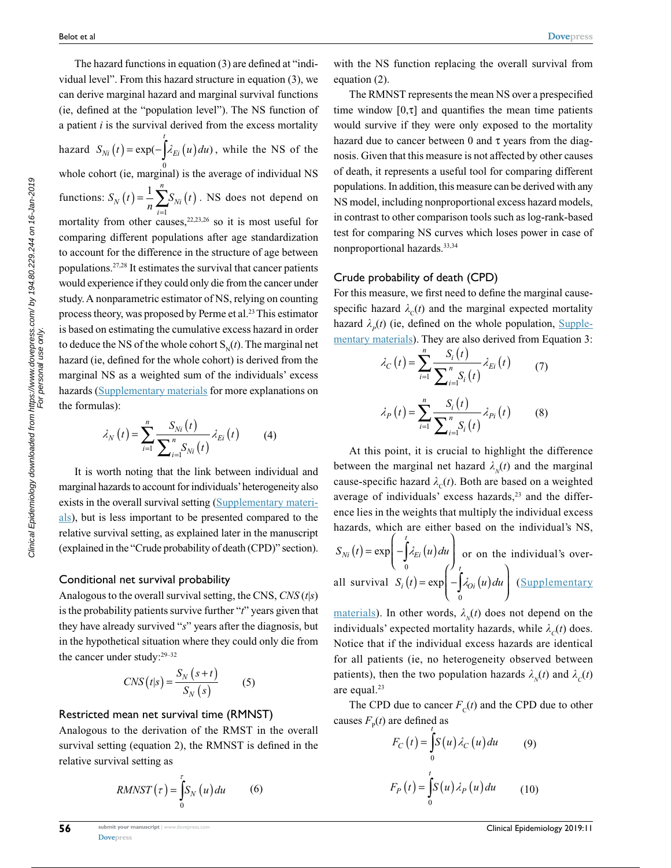The hazard functions in equation (3) are defined at "individual level". From this hazard structure in equation (3), we can derive marginal hazard and marginal survival functions (ie, defined at the "population level"). The NS function of a patient *i* is the survival derived from the excess mortality hazard  $S_{Ni}(t) = \exp(-\int \lambda_{E_i}(u) du)$ , while the NS of the *t* whole cohort (ie, marginal) is the average of individual NS functions:  $S_N(t) = \frac{1}{n} \sum_{i=1}^{n} S_{Ni}(t)$ *i n*  $(t) = -\sum S_{Ni}(t)$  $\frac{1}{n}\sum_{i=1}^n$ 1 . NS does not depend on mortality from other causes,  $22,23,26$  so it is most useful for comparing different populations after age standardization to account for the difference in the structure of age between populations.27,28 It estimates the survival that cancer patients would experience if they could only die from the cancer under study. A nonparametric estimator of NS, relying on counting process theory, was proposed by Perme et al.<sup>23</sup> This estimator is based on estimating the cumulative excess hazard in order to deduce the NS of the whole cohort  $S_N(t)$ . The marginal net hazard (ie, defined for the whole cohort) is derived from the marginal NS as a weighted sum of the individuals' excess hazards ([Supplementary materials](https://www.dovepress.com/get_supplementary_file.php%3Ff%3D173523.pdf) for more explanations on the formulas):

$$
\lambda_{N}\left(t\right) = \sum_{i=1}^{n} \frac{S_{Ni}\left(t\right)}{\sum_{i=1}^{n} S_{Ni}\left(t\right)} \lambda_{Ei}\left(t\right) \tag{4}
$$

It is worth noting that the link between individual and marginal hazards to account for individuals' heterogeneity also exists in the overall survival setting [\(Supplementary materi](https://www.dovepress.com/get_supplementary_file.php%3Ff%3D173523.pdf)[als](https://www.dovepress.com/get_supplementary_file.php%3Ff%3D173523.pdf)), but is less important to be presented compared to the relative survival setting, as explained later in the manuscript (explained in the "Crude probability of death (CPD)" section).

### Conditional net survival probability

Analogous to the overall survival setting, the CNS, *CNS* (*t*|*s*) is the probability patients survive further "*t*" years given that they have already survived "*s*" years after the diagnosis, but in the hypothetical situation where they could only die from the cancer under study:29–32

$$
CNS(t|s) = \frac{S_N(s+t)}{S_N(s)}\tag{5}
$$

### Restricted mean net survival time (RMNST)

Analogous to the derivation of the RMST in the overall survival setting (equation 2), the RMNST is defined in the relative survival setting as

$$
RMNST(\tau) = \int_{0}^{\tau} S_N(u) du \qquad (6)
$$

with the NS function replacing the overall survival from equation (2).

The RMNST represents the mean NS over a prespecified time window  $[0, \tau]$  and quantifies the mean time patients would survive if they were only exposed to the mortality hazard due to cancer between 0 and  $\tau$  years from the diagnosis. Given that this measure is not affected by other causes of death, it represents a useful tool for comparing different populations. In addition, this measure can be derived with any NS model, including nonproportional excess hazard models, in contrast to other comparison tools such as log-rank-based test for comparing NS curves which loses power in case of nonproportional hazards.33,34

### Crude probability of death (CPD)

For this measure, we first need to define the marginal causespecific hazard  $\lambda_c(t)$  and the marginal expected mortality hazard  $\lambda_p(t)$  (ie, defined on the whole population, [Supple](https://www.dovepress.com/get_supplementary_file.php%3Ff%3D173523.pdf)[mentary materials\)](https://www.dovepress.com/get_supplementary_file.php%3Ff%3D173523.pdf). They are also derived from Equation 3:

$$
\lambda_C(t) = \sum_{i=1}^n \frac{S_i(t)}{\sum_{i=1}^n S_i(t)} \lambda_{E_i}(t)
$$
(7)  

$$
\lambda_P(t) = \sum_{i=1}^n \frac{S_i(t)}{\sum_{i=1}^n S_i(t)} \lambda_{P_i}(t)
$$
(8)

At this point, it is crucial to highlight the difference between the marginal net hazard  $\lambda_{N}(t)$  and the marginal cause-specific hazard  $\lambda_c(t)$ . Both are based on a weighted average of individuals' excess hazards, $23$  and the difference lies in the weights that multiply the individual excess hazards, which are either based on the individual's NS,  $\overline{ }$ 

$$
S_{Ni}(t) = \exp\left(-\int_{0}^{t} \lambda_{Ei}(u) du\right)
$$
or on the individual's over-  
all survival  $S_i(t) = \exp\left(-\int_{0}^{t} \lambda_{Oi}(u) du\right)$  (Supplementary

[materials](https://www.dovepress.com/get_supplementary_file.php%3Ff%3D173523.pdf)). In other words,  $\lambda_N(t)$  does not depend on the individuals' expected mortality hazards, while  $\lambda_c(t)$  does. Notice that if the individual excess hazards are identical for all patients (ie, no heterogeneity observed between patients), then the two population hazards  $\lambda_{N}(t)$  and  $\lambda_{C}(t)$ are equal.<sup>23</sup>

The CPD due to cancer  $F_c(t)$  and the CPD due to other causes  $F_{p}(t)$  are defined as

$$
F_C(t) = \int_0^t S(u) \lambda_C(u) du \qquad (9)
$$
  

$$
F_P(t) = \int_0^t S(u) \lambda_P(u) du \qquad (10)
$$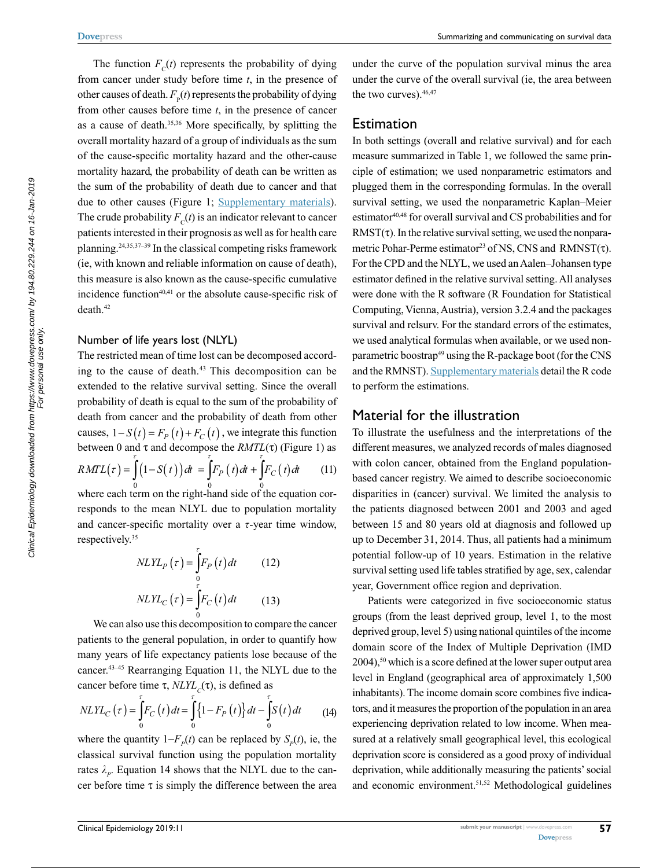Summarizing and communicating on survival data

The function  $F_c(t)$  represents the probability of dying from cancer under study before time *t*, in the presence of other causes of death.  $F<sub>p</sub>(t)$  represents the probability of dying from other causes before time *t*, in the presence of cancer as a cause of death.35,36 More specifically, by splitting the overall mortality hazard of a group of individuals as the sum of the cause-specific mortality hazard and the other-cause mortality hazard, the probability of death can be written as the sum of the probability of death due to cancer and that due to other causes (Figure 1; [Supplementary materials\)](https://www.dovepress.com/get_supplementary_file.php%3Ff%3D173523.pdf). The crude probability  $F_c(t)$  is an indicator relevant to cancer patients interested in their prognosis as well as for health care planning.24,35,37–39 In the classical competing risks framework (ie, with known and reliable information on cause of death), this measure is also known as the cause-specific cumulative incidence function $40,41$  or the absolute cause-specific risk of death.42

### Number of life years lost (NLYL)

The restricted mean of time lost can be decomposed according to the cause of death.<sup>43</sup> This decomposition can be extended to the relative survival setting. Since the overall probability of death is equal to the sum of the probability of death from cancer and the probability of death from other causes,  $1 - S(t) = F_p(t) + F_c(t)$ , we integrate this function between 0 and τ and decompose the *RMTL*(τ) (Figure 1) as  $RMTL(\tau) = \left(1 - S(t)\right)dt = \left|F_P(t)dt + \left|F_C(t)dt\right|\right|$  $\int_{t}^{t} (t - S(t)) dt = \int_{t}^{t} F_{P}(t) dt + \int_{t}^{t} F_{C}(t) dt$  (11) where each term on the right-hand side of the equation cor-

responds to the mean NLYL due to population mortality and cancer-specific mortality over a  $\tau$ -year time window, respectively.35

$$
NLYLP(\tau) = \int_{0}^{\tau} F_{P}(t) dt
$$
 (12)  

$$
NLYLC(\tau) = \int_{0}^{\tau} F_{C}(t) dt
$$
 (13)

We can also use this decomposition to compare the cancer patients to the general population, in order to quantify how many years of life expectancy patients lose because of the cancer.43–45 Rearranging Equation 11, the NLYL due to the cancer before time  $\tau$ , *NLYL<sub>c</sub>*( $\tau$ ), is defined as

$$
NLYL_C(\tau) = \int_{0}^{\tau} F_C(t) dt = \int_{0}^{\tau} \{1 - F_P(t)\} dt - \int_{0}^{\tau} S(t) dt
$$
 (14)

where the quantity  $1-F_p(t)$  can be replaced by  $S_p(t)$ , ie, the classical survival function using the population mortality rates  $\lambda_p$ . Equation 14 shows that the NLYL due to the cancer before time  $\tau$  is simply the difference between the area under the curve of the population survival minus the area under the curve of the overall survival (ie, the area between the two curves).  $46,47$ 

### **Estimation**

In both settings (overall and relative survival) and for each measure summarized in Table 1, we followed the same principle of estimation; we used nonparametric estimators and plugged them in the corresponding formulas. In the overall survival setting, we used the nonparametric Kaplan–Meier estimator<sup>40,48</sup> for overall survival and CS probabilities and for  $RMST(\tau)$ . In the relative survival setting, we used the nonparametric Pohar-Perme estimator<sup>23</sup> of NS, CNS and RMNST( $\tau$ ). For the CPD and the NLYL, we used an Aalen–Johansen type estimator defined in the relative survival setting. All analyses were done with the R software (R Foundation for Statistical Computing, Vienna, Austria), version 3.2.4 and the packages survival and relsurv. For the standard errors of the estimates, we used analytical formulas when available, or we used nonparametric boostrap<sup>49</sup> using the R-package boot (for the CNS and the RMNST). [Supplementary materials](https://www.dovepress.com/get_supplementary_file.php%3Ff%3D173523.pdf) detail the R code to perform the estimations.

### Material for the illustration

To illustrate the usefulness and the interpretations of the different measures, we analyzed records of males diagnosed with colon cancer, obtained from the England populationbased cancer registry. We aimed to describe socioeconomic disparities in (cancer) survival. We limited the analysis to the patients diagnosed between 2001 and 2003 and aged between 15 and 80 years old at diagnosis and followed up up to December 31, 2014. Thus, all patients had a minimum potential follow-up of 10 years. Estimation in the relative survival setting used life tables stratified by age, sex, calendar year, Government office region and deprivation.

Patients were categorized in five socioeconomic status groups (from the least deprived group, level 1, to the most deprived group, level 5) using national quintiles of the income domain score of the Index of Multiple Deprivation (IMD  $2004$ ,<sup>50</sup> which is a score defined at the lower super output area level in England (geographical area of approximately 1,500 inhabitants). The income domain score combines five indicators, and it measures the proportion of the population in an area experiencing deprivation related to low income. When measured at a relatively small geographical level, this ecological deprivation score is considered as a good proxy of individual deprivation, while additionally measuring the patients' social and economic environment.<sup>51,52</sup> Methodological guidelines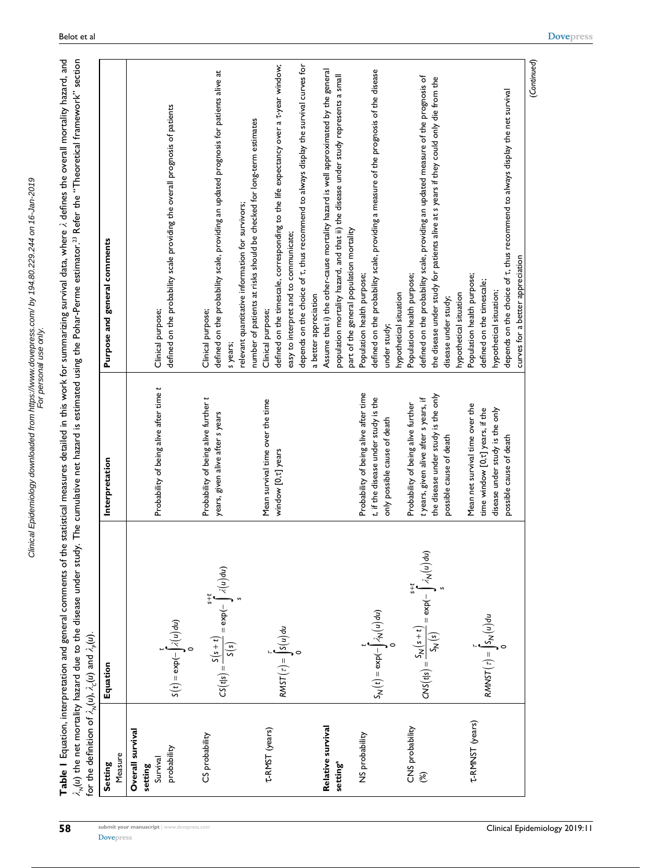Clinical Epidemiology downloaded from https://www.dovepress.com/ by 194.80.229.244 on 16-Jan-2019<br>For personal use only Clinical Epidemiology downloaded from https://www.dovepress.com/ by 194.80.229.244 on 16-Jan-2019 For personal use only.

Table 1 Equation, interpretation and general comments of the statistical measures detailed in this work for summarizing survival data, where  $\lambda$  defines the overall mortality hazard, and **Table 1** Equation, interpretation and general comments of the statistical measures detailed in this work for summarizing survival data, where *l* defines the overall mortality hazard, and Theoretical framework" section The cumulative net hazard is estimated using the Pohar-Perme estimator.23 Refer the " *lN*(*u*) the net mortality hazard due to the disease under study. (*u*).  $\mu$ ) and  $\lambda_p$ for the definition of  $\lambda_\mathsf{N}(\boldsymbol{u})$ ,  $\lambda_\mathsf{C}$ 

|                                                        | ;<br>PV<br>)<br>こんい  こく                                                     |                                                                                                                                                |                                                                                                                                                                                                                                                                                                                     |
|--------------------------------------------------------|-----------------------------------------------------------------------------|------------------------------------------------------------------------------------------------------------------------------------------------|---------------------------------------------------------------------------------------------------------------------------------------------------------------------------------------------------------------------------------------------------------------------------------------------------------------------|
| Measure<br>Setting                                     | Equation                                                                    | Interpretation                                                                                                                                 | Purpose and general comments                                                                                                                                                                                                                                                                                        |
| Overall survival<br>probability<br>Survival<br>setting | $S(t) = \exp(-\int_{0}^{t} \lambda(u) du)$                                  | Probability of being alive after time t                                                                                                        | defined on the probability scale providing the overall prognosis of patients<br>Clinical purpose;                                                                                                                                                                                                                   |
| CS probability                                         | $CS(t s) = \frac{S(s+t)}{S(s)} = \exp(-\int_{a}^{s+t} \lambda(u) du)$       | Probability of being alive further t<br>years, given alive after s years                                                                       | defined on the probability scale, providing an updated prognosis for patients alive at<br>relevant quantitative information for survivors;<br>Clinical purpose;<br>s years;                                                                                                                                         |
| T-RMST (years)                                         | $RMST(\tau) = \int S(u) du$                                                 | Mean survival time over the time<br>window [0, t] years                                                                                        | defined on the timescale, corresponding to the life expectancy over a t-year window;<br>depends on the choice of t, thus recommend to always display the survival curves for<br>number of patients at risks should be checked for long-term estimates<br>easy to interpret and to communicate;<br>Clinical purpose; |
| Relative survival<br>setting <sup>a</sup>              |                                                                             |                                                                                                                                                | Assume that i) the other-cause mortality hazard is well approximated by the general<br>population mortality hazard, and that ii) the disease under study represents a small<br>part of the general population mortality<br>a better appreciation                                                                    |
| NS probability                                         | $S_N(t) = \exp(-\int_0^1 \lambda_N(u) du)$                                  | Probability of being alive after time<br>t, if the disease under study is the<br>only possible cause of death                                  | defined on the probability scale, providing a measure of the prognosis of the disease<br>Population health purpose;<br>hypothetical situation<br>under study;                                                                                                                                                       |
| CNS probability<br>$\mathcal{E}$                       | $CNS(t s) = \frac{S_N(s+t)}{S_N(s)} = \exp(-\int_{0}^{s+t} \lambda_N(u) du$ | the disease under study is the only<br>t years, given alive after s years, if<br>Probability of being alive further<br>possible cause of death | defined on the probability scale, providing an updated measure of the prognosis of<br>the disease under study for patients alive at s years if they could only die from the<br>Population health purpose;<br>disease under study;                                                                                   |
| T-RMNST (years)                                        | $RMNST(\tau) = \int_S N(u) du$                                              | Mean net survival time over the<br>time window [0, t] years, if the<br>disease under study is the only<br>possible cause of death              | depends on the choice of t, thus recommend to always display the net survival<br>curves for a better appreciation<br>Population health purpose;<br>defined on the timescale;<br>hypothetical situation;<br>hypothetical situation                                                                                   |

(*Continued*)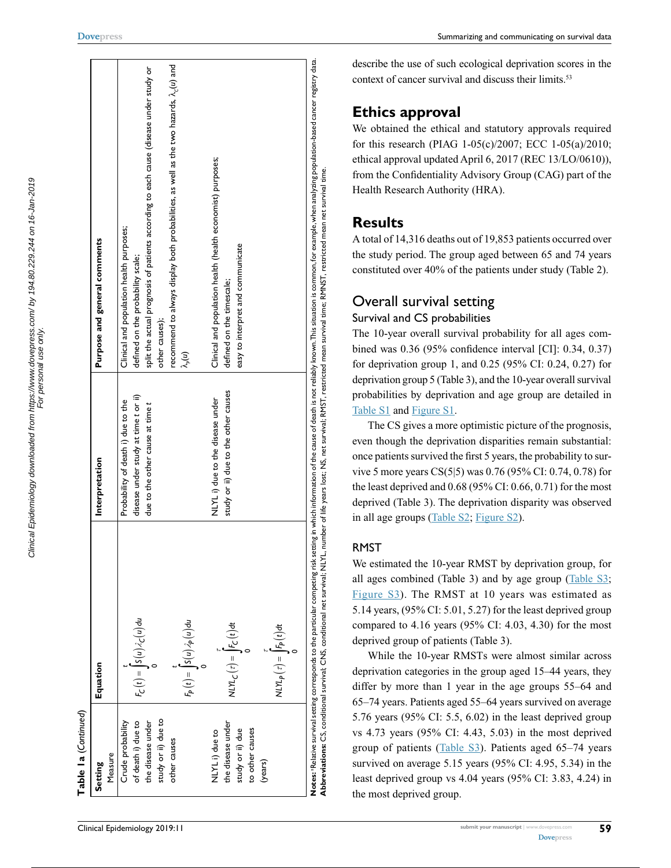| .<br>.<br>aded from https://www.dovepress.com/ by 194.80.229.244 on 16-Jan-20<br>)<br>)<br>)<br>;<br>;<br>; | )<br>)<br>)<br>) |
|-------------------------------------------------------------------------------------------------------------|------------------|
|                                                                                                             |                  |
| mond Loud                                                                                                   |                  |

**[Dovepress](www.dovepress.com)**

Table la (Continued) (*Continued*) **Table 1a**

| Setting             | Equation                                                                      | Interpretation                       | Purpose and general comments                                                                                                                                                                                                                                                                                                                                  |
|---------------------|-------------------------------------------------------------------------------|--------------------------------------|---------------------------------------------------------------------------------------------------------------------------------------------------------------------------------------------------------------------------------------------------------------------------------------------------------------------------------------------------------------|
| Measure             |                                                                               |                                      |                                                                                                                                                                                                                                                                                                                                                               |
| Crude probability   |                                                                               | Probability of death i) due to the   | Clinical and population health purposes;                                                                                                                                                                                                                                                                                                                      |
| of death i) due to  | $F_C(t) =  S(u)\lambda_C(u)du$                                                | disease under study at time t or ii) | defined on the probability scale;                                                                                                                                                                                                                                                                                                                             |
| the disease under   |                                                                               | due to the other cause at time t     | split the actual prognosis of patients according to each cause (disease under study or                                                                                                                                                                                                                                                                        |
| study or ii) due to |                                                                               |                                      | other causes);                                                                                                                                                                                                                                                                                                                                                |
| other causes        |                                                                               |                                      | recommend to always display both probabilities, as well as the two hazards, $\lambda_c(u)$ and                                                                                                                                                                                                                                                                |
|                     | $F_P(t) =  S(u)\lambda_P(u)du$                                                |                                      | $\lambda_{\rho}(\boldsymbol{u})$                                                                                                                                                                                                                                                                                                                              |
|                     |                                                                               |                                      |                                                                                                                                                                                                                                                                                                                                                               |
| NLYLi) due to       |                                                                               | NLYL i) due to the disease under     | Clinical and population health (health economist) purposes;                                                                                                                                                                                                                                                                                                   |
| the disease under   | $NLM_C(z) =  F_C(t)dt$                                                        | study or ii) due to the other causes | defined on the timescale;                                                                                                                                                                                                                                                                                                                                     |
| study or ii) due    |                                                                               |                                      | easy to interpret and communicate                                                                                                                                                                                                                                                                                                                             |
| to other causes     |                                                                               |                                      |                                                                                                                                                                                                                                                                                                                                                               |
| (years)             |                                                                               |                                      |                                                                                                                                                                                                                                                                                                                                                               |
|                     | $N L N_P(z) =  F_P(t) dt$                                                     |                                      |                                                                                                                                                                                                                                                                                                                                                               |
|                     |                                                                               |                                      |                                                                                                                                                                                                                                                                                                                                                               |
|                     |                                                                               |                                      |                                                                                                                                                                                                                                                                                                                                                               |
|                     | Abbreviations: CS, conditional survival; CNS, conditional net survival; NLYL, |                                      | Notes: Relative survival setting corresponds to the particular competing rok setting in which information of the cause of death is not reliably known.This situation is common, for example, when analyzing population-based c<br>number of life years lost; NS, net survival; RMST, restricted mean survival time; RMNST, restricted mean net survival time. |
|                     |                                                                               |                                      |                                                                                                                                                                                                                                                                                                                                                               |

describe the use of such ecological deprivation scores in the context of cancer survival and discuss their limits.<sup>53</sup>

# **Ethics approval**

We obtained the ethical and statutory approvals required for this research (PIAG 1-05(c)/2007; ECC 1-05(a)/2010; ethical approval updated April 6, 2017 (REC 13/LO/0610)), from the Confidentiality Advisory Group (CAG) part of the Health Research Authority (HRA).

# **Results**

A total of 14,316 deaths out of 19,853 patients occurred over the study period. The group aged between 65 and 74 years constituted over 40% of the patients under study (Table 2).

# Overall survival setting

# Survival and CS probabilities

The 10-year overall survival probability for all ages combined was 0.36 (95% confidence interval [CI]: 0.34, 0.37) for deprivation group 1, and 0.25 (95% CI: 0.24, 0.27) for deprivation group 5 (Table 3), and the 10-year overall survival probabilities by deprivation and age group are detailed in [Table S1](https://www.dovepress.com/get_supplementary_file.php?f=173523.pdf) and [Figure S1.](https://www.dovepress.com/get_supplementary_file.php?f=173523.pdf)

The CS gives a more optimistic picture of the prognosis, even though the deprivation disparities remain substantial: once patients survived the first 5 years, the probability to survive 5 more years CS(5|5) was 0.76 (95% CI: 0.74, 0.78) for the least deprived and 0.68 (95% CI: 0.66, 0.71) for the most deprived (Table 3). The deprivation disparity was observed in all age groups [\(Table S2; Figure S2](https://www.dovepress.com/get_supplementary_file.php%3Ff%3D173523.pdf)).

# RMST

We estimated the 10-year RMST by deprivation group, for all ages combined (Table 3) and by age group [\(Table](https://www.dovepress.com/get_supplementary_file.php%3Ff%3D173523.pdf) S3; [Figure](https://www.dovepress.com/get_supplementary_file.php%3Ff%3D173523.pdf) S3). The RMST at 10 years was estimated as 5.14 years, (95% CI: 5.01, 5.27) for the least deprived group compared to  $4.16$  years (95% CI:  $4.03$ ,  $4.30$ ) for the most deprived group of patients (Table 3).

While the 10-year RMSTs were almost similar across deprivation categories in the group aged 15–44 years, they differ by more than 1 year in the age groups 55–64 and 65–74 years. Patients aged 55–64 years survived on average 5.76 years (95% CI: 5.5, 6.02) in the least deprived group vs 4.73 years (95% CI: 4.43, 5.03) in the most deprived group of patients [\(Table S3](https://www.dovepress.com/get_supplementary_file.php?f=173523.pdf)). Patients aged 65–74 years survived on average 5.15 years (95% CI: 4.95, 5.34) in the least deprived group vs 4.04 years (95% CI: 3.83, 4.24) in the most deprived group.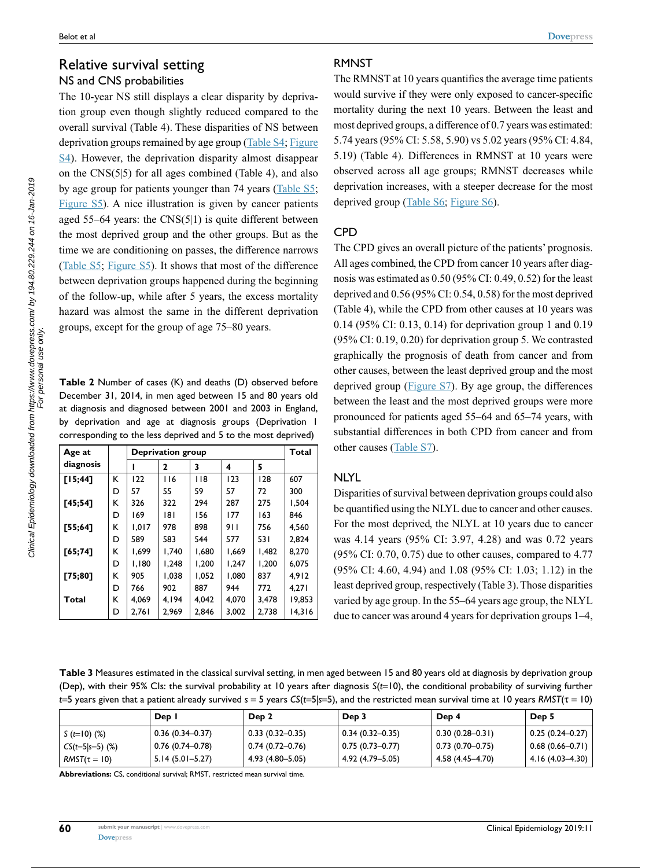# Relative survival setting NS and CNS probabilities

The 10-year NS still displays a clear disparity by deprivation group even though slightly reduced compared to the overall survival (Table 4). These disparities of NS between deprivation groups remained by age group ([Table S4; Figure](https://www.dovepress.com/get_supplementary_file.php?f=173523.pdf) [S4\)](https://www.dovepress.com/get_supplementary_file.php?f=173523.pdf). However, the deprivation disparity almost disappear on the CNS(5|5) for all ages combined (Table 4), and also by age group for patients younger than 74 years ([Table S5;](https://www.dovepress.com/get_supplementary_file.php?f=173523.pdf) [Figure](https://www.dovepress.com/get_supplementary_file.php?f=173523.pdf) S5). A nice illustration is given by cancer patients aged 55–64 years: the CNS(5|1) is quite different between the most deprived group and the other groups. But as the time we are conditioning on passes, the difference narrows [\(Table](https://www.dovepress.com/get_supplementary_file.php?f=173523.pdf) S5; [Figure S5\)](https://www.dovepress.com/get_supplementary_file.php?f=173523.pdf). It shows that most of the difference between deprivation groups happened during the beginning of the follow-up, while after 5 years, the excess mortality hazard was almost the same in the different deprivation groups, except for the group of age 75–80 years.

**Table 2** Number of cases (K) and deaths (D) observed before December 31, 2014, in men aged between 15 and 80 years old at diagnosis and diagnosed between 2001 and 2003 in England, by deprivation and age at diagnosis groups (Deprivation 1 corresponding to the less deprived and 5 to the most deprived)

| Age at       |   | <b>Deprivation group</b> | Total |       |       |       |        |
|--------------|---|--------------------------|-------|-------|-------|-------|--------|
| diagnosis    |   |                          | 2     | 3     | 4     | 5     |        |
| [15; 44]     | ĸ | 122                      | 116   | 118   | 123   | 128   | 607    |
|              | D | 57                       | 55    | 59    | 57    | 72    | 300    |
| [45;54]      | К | 326                      | 322   | 294   | 287   | 275   | 1,504  |
|              | D | 169                      | 181   | 156   | 177   | 163   | 846    |
| [55; 64]     | К | 1,017                    | 978   | 898   | 911   | 756   | 4,560  |
|              | D | 589                      | 583   | 544   | 577   | 531   | 2,824  |
| [65;74]      | К | 1,699                    | 1,740 | 1,680 | 1,669 | 1,482 | 8,270  |
|              | D | 1,180                    | 1,248 | 1,200 | 1,247 | 1,200 | 6,075  |
| [75;80]      | К | 905                      | 1,038 | 1,052 | 1,080 | 837   | 4,912  |
|              | D | 766                      | 902   | 887   | 944   | 772   | 4,271  |
| <b>Total</b> | К | 4,069                    | 4.194 | 4,042 | 4,070 | 3,478 | 19,853 |
|              | D | 2,761                    | 2,969 | 2,846 | 3,002 | 2,738 | 14,316 |

### RMNST

The RMNST at 10 years quantifies the average time patients would survive if they were only exposed to cancer-specific mortality during the next 10 years. Between the least and most deprived groups, a difference of 0.7 years was estimated: 5.74 years (95% CI: 5.58, 5.90) vs 5.02 years (95% CI: 4.84, 5.19) (Table 4). Differences in RMNST at 10 years were observed across all age groups; RMNST decreases while deprivation increases, with a steeper decrease for the most deprived group [\(Table S6; Figure S6](https://www.dovepress.com/get_supplementary_file.php?f=173523.pdf)).

# CPD

The CPD gives an overall picture of the patients' prognosis. All ages combined, the CPD from cancer 10 years after diagnosis was estimated as 0.50 (95% CI: 0.49, 0.52) for the least deprived and 0.56 (95% CI: 0.54, 0.58) for the most deprived (Table 4), while the CPD from other causes at 10 years was 0.14 (95% CI: 0.13, 0.14) for deprivation group 1 and 0.19 (95% CI: 0.19, 0.20) for deprivation group 5. We contrasted graphically the prognosis of death from cancer and from other causes, between the least deprived group and the most deprived group [\(Figure S7\)](https://www.dovepress.com/get_supplementary_file.php?f=173523.pdf). By age group, the differences between the least and the most deprived groups were more pronounced for patients aged 55–64 and 65–74 years, with substantial differences in both CPD from cancer and from other causes ([Table S7](https://www.dovepress.com/get_supplementary_file.php?f=173523.pdf)).

# NLYL

Disparities of survival between deprivation groups could also be quantified using the NLYL due to cancer and other causes. For the most deprived, the NLYL at 10 years due to cancer was 4.14 years (95% CI: 3.97, 4.28) and was 0.72 years (95% CI: 0.70, 0.75) due to other causes, compared to 4.77 (95% CI: 4.60, 4.94) and 1.08 (95% CI: 1.03; 1.12) in the least deprived group, respectively (Table 3). Those disparities varied by age group. In the 55–64 years age group, the NLYL due to cancer was around 4 years for deprivation groups 1–4,

**Table 3** Measures estimated in the classical survival setting, in men aged between 15 and 80 years old at diagnosis by deprivation group (Dep), with their 95% CIs: the survival probability at 10 years after diagnosis *S*(*t*=10), the conditional probability of surviving further *t*=5 years given that a patient already survived *s* = 5 years *CS*(*t*=5|*s*=5), and the restricted mean survival time at 10 years *RMST*(τ = 10)

|                   | Dep I               | Dep <sub>2</sub>       | Dep 3               | Dep 4               | Dep 5                 |
|-------------------|---------------------|------------------------|---------------------|---------------------|-----------------------|
| S (t=10) (%)      | $0.36(0.34 - 0.37)$ | $  0.33 (0.32 - 0.35)$ | $0.34(0.32 - 0.35)$ | $0.30(0.28 - 0.31)$ | 0.25 (0.24–0.27)      |
| $CS(t=5 s=5)$ (%) | 0.76 (0.74–0.78)    | 0.74 (0.72–0.76)       | $0.75(0.73-0.77)$   | $0.73(0.70-0.75)$   | $ 0.68(0.66 - 0.71) $ |
| $RMST(\tau = 10)$ | $5.14(5.01 - 5.27)$ | 4.93 (4.80–5.05)       | 4.92 (4.79–5.05)    | 4.58 (4.45–4.70)    | 4.16 (4.03–4.30)      |

**Abbreviations:** CS, conditional survival; RMST, restricted mean survival time.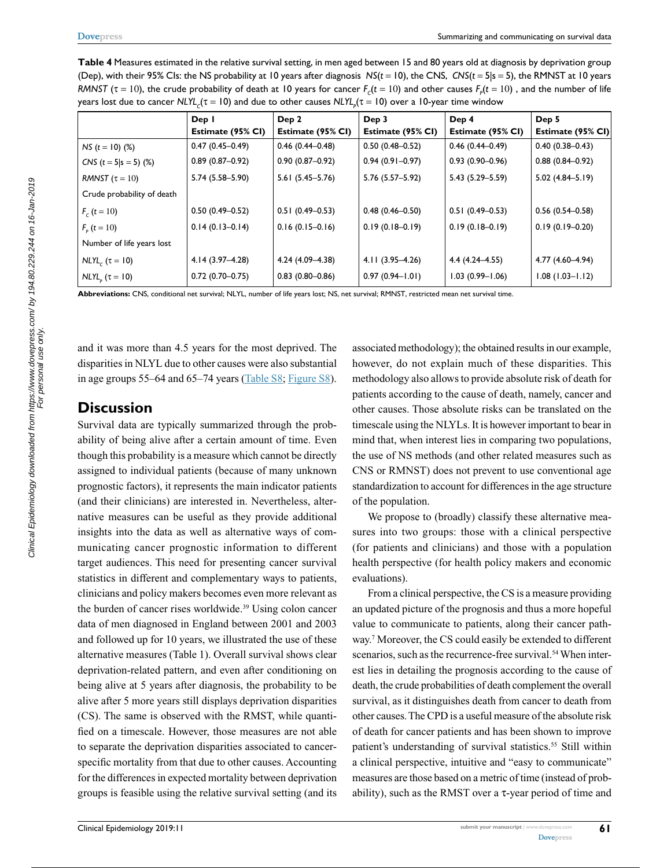|                            | Dep I               | Dep 2               | Dep 3               | Dep 4               | Dep 5               |  |  |
|----------------------------|---------------------|---------------------|---------------------|---------------------|---------------------|--|--|
|                            | Estimate (95% CI)   | Estimate (95% CI)   | Estimate (95% CI)   | Estimate (95% CI)   | Estimate (95% CI)   |  |  |
| $NS (t = 10)$ (%)          | $0.47(0.45 - 0.49)$ | $0.46(0.44 - 0.48)$ | $0.50(0.48 - 0.52)$ | $0.46(0.44 - 0.49)$ | $0.40(0.38 - 0.43)$ |  |  |
| CNS $(t = 5 s = 5)$ (%)    | $0.89(0.87 - 0.92)$ | $0.90(0.87 - 0.92)$ | $0.94(0.91 - 0.97)$ | $0.93(0.90 - 0.96)$ | $0.88(0.84 - 0.92)$ |  |  |
| RMNST $(\tau = 10)$        | $5.74(5.58 - 5.90)$ | $5.61(5.45 - 5.76)$ | 5.76 (5.57-5.92)    | 5.43 (5.29 - 5.59)  | $5.02(4.84 - 5.19)$ |  |  |
| Crude probability of death |                     |                     |                     |                     |                     |  |  |
| $F_c(t=10)$                | $0.50(0.49 - 0.52)$ | $0.51(0.49-0.53)$   | $0.48(0.46 - 0.50)$ | $0.51(0.49-0.53)$   | $0.56(0.54 - 0.58)$ |  |  |
| $F_{\rm g}$ (t = 10)       | $0.14(0.13-0.14)$   | $0.16(0.15-0.16)$   | $0.19(0.18-0.19)$   | $0.19(0.18-0.19)$   | $0.19(0.19-0.20)$   |  |  |
| Number of life years lost  |                     |                     |                     |                     |                     |  |  |
| $NLYL_c$ ( $\tau = 10$ )   | 4.14 (3.97–4.28)    | 4.24 (4.09-4.38)    | $4.11(3.95 - 4.26)$ | $4.4(4.24 - 4.55)$  | 4.77 (4.60-4.94)    |  |  |
| $NLYLp$ ( $\tau = 10$ )    | $0.72(0.70-0.75)$   | $0.83(0.80 - 0.86)$ | $0.97(0.94 - 1.01)$ | $1.03(0.99 - 1.06)$ | $1.08(1.03 - 1.12)$ |  |  |
|                            |                     |                     |                     |                     |                     |  |  |

**Table 4** Measures estimated in the relative survival setting, in men aged between 15 and 80 years old at diagnosis by deprivation group (Dep), with their 95% CIs: the NS probability at 10 years after diagnosis *NS*(*t* = 10), the CNS, *CNS*(*t* = 5|s = 5), the RMNST at 10 years *RMNST* ( $\tau$  = 10), the crude probability of death at 10 years for cancer  $F_c(t=10)$  and other causes  $F_p(t=10)$  , and the number of life years lost due to cancer NLYL<sub>c</sub>(τ = 10) and due to other causes NLYL<sub>p</sub>(τ = 10) over a 10-year time window

**Abbreviations:** CNS, conditional net survival; NLYL, number of life years lost; NS, net survival; RMNST, restricted mean net survival time.

and it was more than 4.5 years for the most deprived. The disparities in NLYL due to other causes were also substantial in age groups 55–64 and 65–74 years ([Table S8](https://www.dovepress.com/get_supplementary_file.php%3Ff%3D173523.pdf); [Figure S8\)](https://www.dovepress.com/get_supplementary_file.php%3Ff%3D173523.pdf).

# **Discussion**

Survival data are typically summarized through the probability of being alive after a certain amount of time. Even though this probability is a measure which cannot be directly assigned to individual patients (because of many unknown prognostic factors), it represents the main indicator patients (and their clinicians) are interested in. Nevertheless, alternative measures can be useful as they provide additional insights into the data as well as alternative ways of communicating cancer prognostic information to different target audiences. This need for presenting cancer survival statistics in different and complementary ways to patients, clinicians and policy makers becomes even more relevant as the burden of cancer rises worldwide.<sup>39</sup> Using colon cancer data of men diagnosed in England between 2001 and 2003 and followed up for 10 years, we illustrated the use of these alternative measures (Table 1). Overall survival shows clear deprivation-related pattern, and even after conditioning on being alive at 5 years after diagnosis, the probability to be alive after 5 more years still displays deprivation disparities (CS). The same is observed with the RMST, while quantified on a timescale. However, those measures are not able to separate the deprivation disparities associated to cancerspecific mortality from that due to other causes. Accounting for the differences in expected mortality between deprivation groups is feasible using the relative survival setting (and its

associated methodology); the obtained results in our example, however, do not explain much of these disparities. This methodology also allows to provide absolute risk of death for patients according to the cause of death, namely, cancer and other causes. Those absolute risks can be translated on the timescale using the NLYLs. It is however important to bear in mind that, when interest lies in comparing two populations, the use of NS methods (and other related measures such as CNS or RMNST) does not prevent to use conventional age standardization to account for differences in the age structure of the population.

We propose to (broadly) classify these alternative measures into two groups: those with a clinical perspective (for patients and clinicians) and those with a population health perspective (for health policy makers and economic evaluations).

From a clinical perspective, the CS is a measure providing an updated picture of the prognosis and thus a more hopeful value to communicate to patients, along their cancer pathway.7 Moreover, the CS could easily be extended to different scenarios, such as the recurrence-free survival.<sup>54</sup> When interest lies in detailing the prognosis according to the cause of death, the crude probabilities of death complement the overall survival, as it distinguishes death from cancer to death from other causes. The CPD is a useful measure of the absolute risk of death for cancer patients and has been shown to improve patient's understanding of survival statistics.<sup>55</sup> Still within a clinical perspective, intuitive and "easy to communicate" measures are those based on a metric of time (instead of probability), such as the RMST over a τ-year period of time and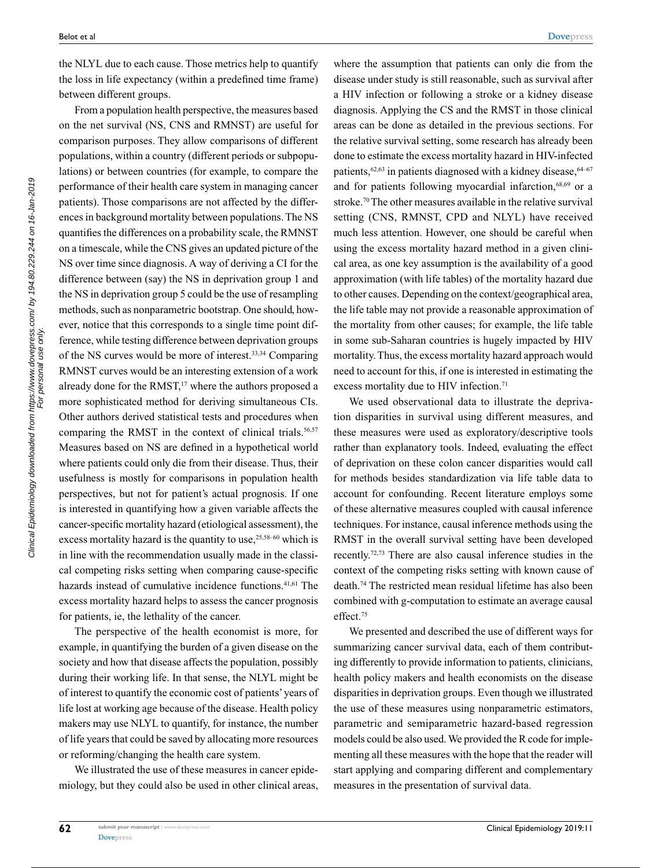the NLYL due to each cause. Those metrics help to quantify the loss in life expectancy (within a predefined time frame) between different groups.

From a population health perspective, the measures based on the net survival (NS, CNS and RMNST) are useful for comparison purposes. They allow comparisons of different populations, within a country (different periods or subpopulations) or between countries (for example, to compare the performance of their health care system in managing cancer patients). Those comparisons are not affected by the differences in background mortality between populations. The NS quantifies the differences on a probability scale, the RMNST on a timescale, while the CNS gives an updated picture of the NS over time since diagnosis. A way of deriving a CI for the difference between (say) the NS in deprivation group 1 and the NS in deprivation group 5 could be the use of resampling methods, such as nonparametric bootstrap. One should, however, notice that this corresponds to a single time point difference, while testing difference between deprivation groups of the NS curves would be more of interest.33,34 Comparing RMNST curves would be an interesting extension of a work already done for the RMST,<sup>17</sup> where the authors proposed a more sophisticated method for deriving simultaneous CIs. Other authors derived statistical tests and procedures when comparing the RMST in the context of clinical trials.<sup>56,57</sup> Measures based on NS are defined in a hypothetical world where patients could only die from their disease. Thus, their usefulness is mostly for comparisons in population health perspectives, but not for patient's actual prognosis. If one is interested in quantifying how a given variable affects the cancer-specific mortality hazard (etiological assessment), the excess mortality hazard is the quantity to use,  $25,58-60$  which is in line with the recommendation usually made in the classical competing risks setting when comparing cause-specific hazards instead of cumulative incidence functions.<sup>41,61</sup> The excess mortality hazard helps to assess the cancer prognosis for patients, ie, the lethality of the cancer.

The perspective of the health economist is more, for example, in quantifying the burden of a given disease on the society and how that disease affects the population, possibly during their working life. In that sense, the NLYL might be of interest to quantify the economic cost of patients' years of life lost at working age because of the disease. Health policy makers may use NLYL to quantify, for instance, the number of life years that could be saved by allocating more resources or reforming/changing the health care system.

We illustrated the use of these measures in cancer epidemiology, but they could also be used in other clinical areas,

where the assumption that patients can only die from the disease under study is still reasonable, such as survival after a HIV infection or following a stroke or a kidney disease diagnosis. Applying the CS and the RMST in those clinical areas can be done as detailed in the previous sections. For the relative survival setting, some research has already been done to estimate the excess mortality hazard in HIV-infected patients, $62,63$  in patients diagnosed with a kidney disease,  $64-67$ and for patients following myocardial infarction,<sup>68,69</sup> or a stroke.70 The other measures available in the relative survival setting (CNS, RMNST, CPD and NLYL) have received much less attention. However, one should be careful when using the excess mortality hazard method in a given clinical area, as one key assumption is the availability of a good approximation (with life tables) of the mortality hazard due to other causes. Depending on the context/geographical area, the life table may not provide a reasonable approximation of the mortality from other causes; for example, the life table in some sub-Saharan countries is hugely impacted by HIV mortality. Thus, the excess mortality hazard approach would need to account for this, if one is interested in estimating the excess mortality due to HIV infection.<sup>71</sup>

We used observational data to illustrate the deprivation disparities in survival using different measures, and these measures were used as exploratory/descriptive tools rather than explanatory tools. Indeed, evaluating the effect of deprivation on these colon cancer disparities would call for methods besides standardization via life table data to account for confounding. Recent literature employs some of these alternative measures coupled with causal inference techniques. For instance, causal inference methods using the RMST in the overall survival setting have been developed recently.72,73 There are also causal inference studies in the context of the competing risks setting with known cause of death.74 The restricted mean residual lifetime has also been combined with g-computation to estimate an average causal effect.<sup>75</sup>

We presented and described the use of different ways for summarizing cancer survival data, each of them contributing differently to provide information to patients, clinicians, health policy makers and health economists on the disease disparities in deprivation groups. Even though we illustrated the use of these measures using nonparametric estimators, parametric and semiparametric hazard-based regression models could be also used. We provided the R code for implementing all these measures with the hope that the reader will start applying and comparing different and complementary measures in the presentation of survival data.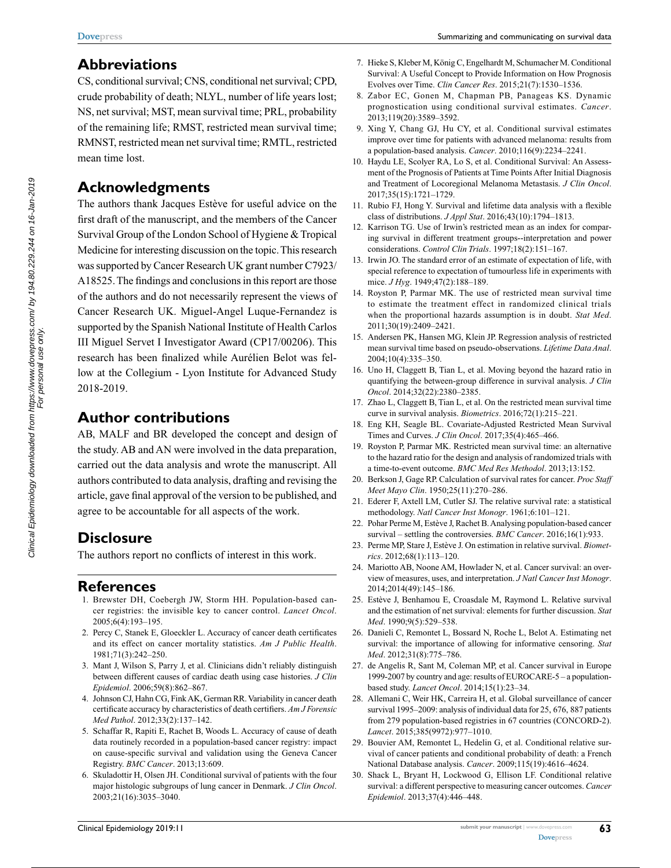# **Abbreviations**

CS, conditional survival; CNS, conditional net survival; CPD, crude probability of death; NLYL, number of life years lost; NS, net survival; MST, mean survival time; PRL, probability of the remaining life; RMST, restricted mean survival time; RMNST, restricted mean net survival time; RMTL, restricted mean time lost.

# **Acknowledgments**

The authors thank Jacques Estève for useful advice on the first draft of the manuscript, and the members of the Cancer Survival Group of the London School of Hygiene & Tropical Medicine for interesting discussion on the topic. This research was supported by Cancer Research UK grant number C7923/ A18525. The findings and conclusions in this report are those of the authors and do not necessarily represent the views of Cancer Research UK. Miguel-Angel Luque-Fernandez is supported by the Spanish National Institute of Health Carlos III Miguel Servet I Investigator Award (CP17/00206). This research has been finalized while Aurélien Belot was fellow at the Collegium - Lyon Institute for Advanced Study 2018-2019.

# **Author contributions**

AB, MALF and BR developed the concept and design of the study. AB and AN were involved in the data preparation, carried out the data analysis and wrote the manuscript. All authors contributed to data analysis, drafting and revising the article, gave final approval of the version to be published, and agree to be accountable for all aspects of the work.

# **Disclosure**

The authors report no conflicts of interest in this work.

# **References**

- 1. Brewster DH, Coebergh JW, Storm HH. Population-based cancer registries: the invisible key to cancer control. *Lancet Oncol*. 2005;6(4):193–195.
- 2. Percy C, Stanek E, Gloeckler L. Accuracy of cancer death certificates and its effect on cancer mortality statistics. *Am J Public Health*. 1981;71(3):242–250.
- 3. Mant J, Wilson S, Parry J, et al. Clinicians didn't reliably distinguish between different causes of cardiac death using case histories. *J Clin Epidemiol*. 2006;59(8):862–867.
- 4. Johnson CJ, Hahn CG, Fink AK, German RR. Variability in cancer death certificate accuracy by characteristics of death certifiers. *Am J Forensic Med Pathol*. 2012;33(2):137–142.
- 5. Schaffar R, Rapiti E, Rachet B, Woods L. Accuracy of cause of death data routinely recorded in a population-based cancer registry: impact on cause-specific survival and validation using the Geneva Cancer Registry. *BMC Cancer*. 2013;13:609.
- 6. Skuladottir H, Olsen JH. Conditional survival of patients with the four major histologic subgroups of lung cancer in Denmark. *J Clin Oncol*. 2003;21(16):3035–3040.
- 7. Hieke S, Kleber M, König C, Engelhardt M, Schumacher M. Conditional Survival: A Useful Concept to Provide Information on How Prognosis Evolves over Time. *Clin Cancer Res*. 2015;21(7):1530–1536.
- 8. Zabor EC, Gonen M, Chapman PB, Panageas KS. Dynamic prognostication using conditional survival estimates. *Cancer*. 2013;119(20):3589–3592.
- 9. Xing Y, Chang GJ, Hu CY, et al. Conditional survival estimates improve over time for patients with advanced melanoma: results from a population-based analysis. *Cancer*. 2010;116(9):2234–2241.
- 10. Haydu LE, Scolyer RA, Lo S, et al. Conditional Survival: An Assessment of the Prognosis of Patients at Time Points After Initial Diagnosis and Treatment of Locoregional Melanoma Metastasis. *J Clin Oncol*. 2017;35(15):1721–1729.
- 11. Rubio FJ, Hong Y. Survival and lifetime data analysis with a flexible class of distributions. *J Appl Stat*. 2016;43(10):1794–1813.
- 12. Karrison TG. Use of Irwin's restricted mean as an index for comparing survival in different treatment groups--interpretation and power considerations. *Control Clin Trials*. 1997;18(2):151–167.
- 13. Irwin JO. The standard error of an estimate of expectation of life, with special reference to expectation of tumourless life in experiments with mice. *J Hyg*. 1949;47(2):188–189.
- 14. Royston P, Parmar MK. The use of restricted mean survival time to estimate the treatment effect in randomized clinical trials when the proportional hazards assumption is in doubt. *Stat Med*. 2011;30(19):2409–2421.
- 15. Andersen PK, Hansen MG, Klein JP. Regression analysis of restricted mean survival time based on pseudo-observations. *Lifetime Data Anal*. 2004;10(4):335–350.
- 16. Uno H, Claggett B, Tian L, et al. Moving beyond the hazard ratio in quantifying the between-group difference in survival analysis. *J Clin Oncol*. 2014;32(22):2380–2385.
- 17. Zhao L, Claggett B, Tian L, et al. On the restricted mean survival time curve in survival analysis. *Biometrics*. 2016;72(1):215–221.
- 18. Eng KH, Seagle BL. Covariate-Adjusted Restricted Mean Survival Times and Curves. *J Clin Oncol*. 2017;35(4):465–466.
- 19. Royston P, Parmar MK. Restricted mean survival time: an alternative to the hazard ratio for the design and analysis of randomized trials with a time-to-event outcome. *BMC Med Res Methodol*. 2013;13:152.
- 20. Berkson J, Gage RP. Calculation of survival rates for cancer. *Proc Staff Meet Mayo Clin*. 1950;25(11):270–286.
- 21. Ederer F, Axtell LM, Cutler SJ. The relative survival rate: a statistical methodology. *Natl Cancer Inst Monogr*. 1961;6:101–121.
- 22. Pohar Perme M, Estève J, Rachet B. Analysing population-based cancer survival – settling the controversies. *BMC Cancer*. 2016;16(1):933.
- 23. Perme MP, Stare J, Estève J. On estimation in relative survival. *Biometrics*. 2012;68(1):113–120.
- 24. Mariotto AB, Noone AM, Howlader N, et al. Cancer survival: an overview of measures, uses, and interpretation. *J Natl Cancer Inst Monogr*. 2014;2014(49):145–186.
- 25. Estève J, Benhamou E, Croasdale M, Raymond L. Relative survival and the estimation of net survival: elements for further discussion. *Stat Med*. 1990;9(5):529–538.
- 26. Danieli C, Remontet L, Bossard N, Roche L, Belot A. Estimating net survival: the importance of allowing for informative censoring. *Stat Med*. 2012;31(8):775–786.
- 27. de Angelis R, Sant M, Coleman MP, et al. Cancer survival in Europe 1999-2007 by country and age: results of EUROCARE-5 – a populationbased study. *Lancet Oncol*. 2014;15(1):23–34.
- 28. Allemani C, Weir HK, Carreira H, et al. Global surveillance of cancer survival 1995–2009: analysis of individual data for 25, 676, 887 patients from 279 population-based registries in 67 countries (CONCORD-2). *Lancet*. 2015;385(9972):977–1010.
- 29. Bouvier AM, Remontet L, Hedelin G, et al. Conditional relative survival of cancer patients and conditional probability of death: a French National Database analysis. *Cancer*. 2009;115(19):4616–4624.
- 30. Shack L, Bryant H, Lockwood G, Ellison LF. Conditional relative survival: a different perspective to measuring cancer outcomes. *Cancer Epidemiol*. 2013;37(4):446–448.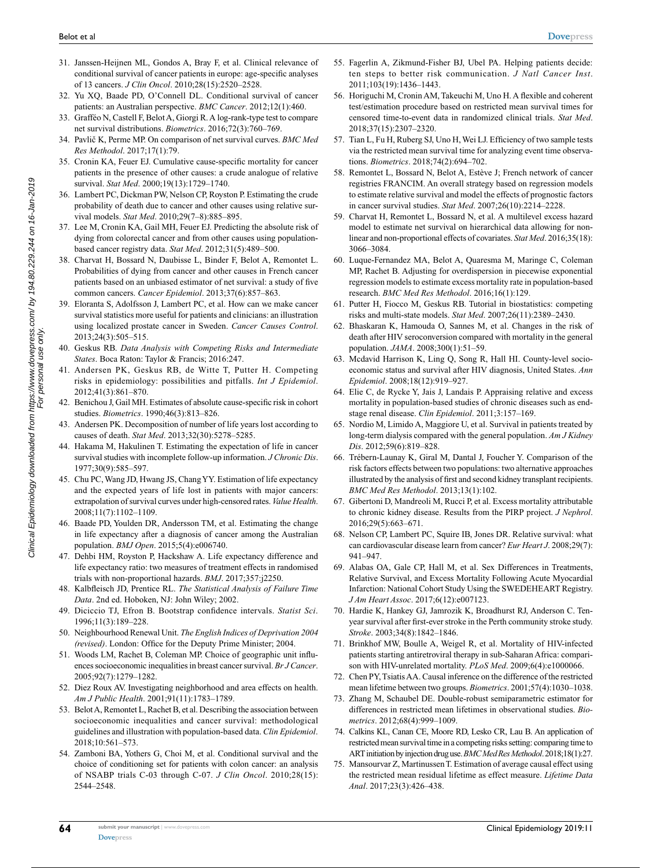- Clinical Epidemiology downloaded from https://www.dovepress.com/ by 194.80.229.244 on 16-Jan-2019<br>For personal use only. Clinical Epidemiology downloaded from https://www.dovepress.com/ by 194.80.229.244 on 16-Jan-2019 For personal use only.
- 31. Janssen-Heijnen ML, Gondos A, Bray F, et al. Clinical relevance of conditional survival of cancer patients in europe: age-specific analyses of 13 cancers. *J Clin Oncol*. 2010;28(15):2520–2528.
- 32. Yu XQ, Baade PD, O'Connell DL. Conditional survival of cancer patients: an Australian perspective. *BMC Cancer*. 2012;12(1):460.
- 33. Grafféo N, Castell F, Belot A, Giorgi R. A log-rank-type test to compare net survival distributions. *Biometrics*. 2016;72(3):760–769.
- 34. Pavlič K, Perme MP. On comparison of net survival curves. *BMC Med Res Methodol*. 2017;17(1):79.
- 35. Cronin KA, Feuer EJ. Cumulative cause-specific mortality for cancer patients in the presence of other causes: a crude analogue of relative survival. *Stat Med*. 2000;19(13):1729–1740.
- 36. Lambert PC, Dickman PW, Nelson CP, Royston P. Estimating the crude probability of death due to cancer and other causes using relative survival models. *Stat Med*. 2010;29(7–8):885–895.
- 37. Lee M, Cronin KA, Gail MH, Feuer EJ. Predicting the absolute risk of dying from colorectal cancer and from other causes using populationbased cancer registry data. *Stat Med*. 2012;31(5):489–500.
- 38. Charvat H, Bossard N, Daubisse L, Binder F, Belot A, Remontet L. Probabilities of dying from cancer and other causes in French cancer patients based on an unbiased estimator of net survival: a study of five common cancers. *Cancer Epidemiol*. 2013;37(6):857–863.
- 39. Eloranta S, Adolfsson J, Lambert PC, et al. How can we make cancer survival statistics more useful for patients and clinicians: an illustration using localized prostate cancer in Sweden. *Cancer Causes Control*. 2013;24(3):505–515.
- 40. Geskus RB. *Data Analysis with Competing Risks and Intermediate States*. Boca Raton: Taylor & Francis; 2016:247.
- 41. Andersen PK, Geskus RB, de Witte T, Putter H. Competing risks in epidemiology: possibilities and pitfalls. *Int J Epidemiol*. 2012;41(3):861–870.
- 42. Benichou J, Gail MH. Estimates of absolute cause-specific risk in cohort studies. *Biometrics*. 1990;46(3):813–826.
- 43. Andersen PK. Decomposition of number of life years lost according to causes of death. *Stat Med*. 2013;32(30):5278–5285.
- 44. Hakama M, Hakulinen T. Estimating the expectation of life in cancer survival studies with incomplete follow-up information. *J Chronic Dis*. 1977;30(9):585–597.
- 45. Chu PC, Wang JD, Hwang JS, Chang YY. Estimation of life expectancy and the expected years of life lost in patients with major cancers: extrapolation of survival curves under high-censored rates. *Value Health*. 2008;11(7):1102–1109.
- 46. Baade PD, Youlden DR, Andersson TM, et al. Estimating the change in life expectancy after a diagnosis of cancer among the Australian population. *BMJ Open*. 2015;5(4):e006740.
- 47. Dehbi HM, Royston P, Hackshaw A. Life expectancy difference and life expectancy ratio: two measures of treatment effects in randomised trials with non-proportional hazards. *BMJ*. 2017;357:j2250.
- 48. Kalbfleisch JD, Prentice RL. *The Statistical Analysis of Failure Time Data*. 2nd ed. Hoboken, NJ: John Wiley; 2002.
- 49. Diciccio TJ, Efron B. Bootstrap confidence intervals. *Statist Sci*. 1996;11(3):189–228.
- 50. Neighbourhood Renewal Unit. *The English Indices of Deprivation 2004 (revised)*. London: Office for the Deputy Prime Minister; 2004.
- 51. Woods LM, Rachet B, Coleman MP. Choice of geographic unit influences socioeconomic inequalities in breast cancer survival. *Br J Cancer*. 2005;92(7):1279–1282.
- 52. Diez Roux AV. Investigating neighborhood and area effects on health. *Am J Public Health*. 2001;91(11):1783–1789.
- 53. Belot A, Remontet L, Rachet B, et al. Describing the association between socioeconomic inequalities and cancer survival: methodological guidelines and illustration with population-based data. *Clin Epidemiol*. 2018;10:561–573.
- 54. Zamboni BA, Yothers G, Choi M, et al. Conditional survival and the choice of conditioning set for patients with colon cancer: an analysis of NSABP trials C-03 through C-07. *J Clin Oncol*. 2010;28(15): 2544–2548.
- 55. Fagerlin A, Zikmund-Fisher BJ, Ubel PA. Helping patients decide: ten steps to better risk communication. *J Natl Cancer Inst*. 2011;103(19):1436–1443.
- 56. Horiguchi M, Cronin AM, Takeuchi M, Uno H. A flexible and coherent test/estimation procedure based on restricted mean survival times for censored time-to-event data in randomized clinical trials. *Stat Med*. 2018;37(15):2307–2320.
- 57. Tian L, Fu H, Ruberg SJ, Uno H, Wei LJ. Efficiency of two sample tests via the restricted mean survival time for analyzing event time observations. *Biometrics*. 2018;74(2):694–702.
- 58. Remontet L, Bossard N, Belot A, Estève J; French network of cancer registries FRANCIM. An overall strategy based on regression models to estimate relative survival and model the effects of prognostic factors in cancer survival studies. *Stat Med*. 2007;26(10):2214–2228.
- 59. Charvat H, Remontet L, Bossard N, et al. A multilevel excess hazard model to estimate net survival on hierarchical data allowing for nonlinear and non-proportional effects of covariates. *Stat Med*. 2016;35(18): 3066–3084.
- 60. Luque-Fernandez MA, Belot A, Quaresma M, Maringe C, Coleman MP, Rachet B. Adjusting for overdispersion in piecewise exponential regression models to estimate excess mortality rate in population-based research. *BMC Med Res Methodol*. 2016;16(1):129.
- 61. Putter H, Fiocco M, Geskus RB. Tutorial in biostatistics: competing risks and multi-state models. *Stat Med*. 2007;26(11):2389–2430.
- 62. Bhaskaran K, Hamouda O, Sannes M, et al. Changes in the risk of death after HIV seroconversion compared with mortality in the general population. *JAMA*. 2008;300(1):51–59.
- 63. Mcdavid Harrison K, Ling Q, Song R, Hall HI. County-level socioeconomic status and survival after HIV diagnosis, United States. *Ann Epidemiol*. 2008;18(12):919–927.
- 64. Elie C, de Rycke Y, Jais J, Landais P. Appraising relative and excess mortality in population-based studies of chronic diseases such as endstage renal disease. *Clin Epidemiol*. 2011;3:157–169.
- 65. Nordio M, Limido A, Maggiore U, et al. Survival in patients treated by long-term dialysis compared with the general population. *Am J Kidney Dis*. 2012;59(6):819–828.
- 66. Trébern-Launay K, Giral M, Dantal J, Foucher Y. Comparison of the risk factors effects between two populations: two alternative approaches illustrated by the analysis of first and second kidney transplant recipients. *BMC Med Res Methodol*. 2013;13(1):102.
- 67. Gibertoni D, Mandreoli M, Rucci P, et al. Excess mortality attributable to chronic kidney disease. Results from the PIRP project. *J Nephrol*. 2016;29(5):663–671.
- 68. Nelson CP, Lambert PC, Squire IB, Jones DR. Relative survival: what can cardiovascular disease learn from cancer? *Eur Heart J*. 2008;29(7): 941–947.
- 69. Alabas OA, Gale CP, Hall M, et al. Sex Differences in Treatments, Relative Survival, and Excess Mortality Following Acute Myocardial Infarction: National Cohort Study Using the SWEDEHEART Registry. *J Am Heart Assoc*. 2017;6(12):e007123.
- 70. Hardie K, Hankey GJ, Jamrozik K, Broadhurst RJ, Anderson C. Tenyear survival after first-ever stroke in the Perth community stroke study. *Stroke*. 2003;34(8):1842–1846.
- 71. Brinkhof MW, Boulle A, Weigel R, et al. Mortality of HIV-infected patients starting antiretroviral therapy in sub-Saharan Africa: comparison with HIV-unrelated mortality. *PLoS Med*. 2009;6(4):e1000066.
- 72. Chen PY, Tsiatis AA. Causal inference on the difference of the restricted mean lifetime between two groups. *Biometrics*. 2001;57(4):1030–1038.
- 73. Zhang M, Schaubel DE. Double-robust semiparametric estimator for differences in restricted mean lifetimes in observational studies. *Biometrics*. 2012;68(4):999–1009.
- 74. Calkins KL, Canan CE, Moore RD, Lesko CR, Lau B. An application of restricted mean survival time in a competing risks setting: comparing time to ART initiation by injection drug use. *BMC Med Res Methodol*. 2018;18(1):27.
- 75. Mansourvar Z, Martinussen T. Estimation of average causal effect using the restricted mean residual lifetime as effect measure. *Lifetime Data Anal*. 2017;23(3):426–438.